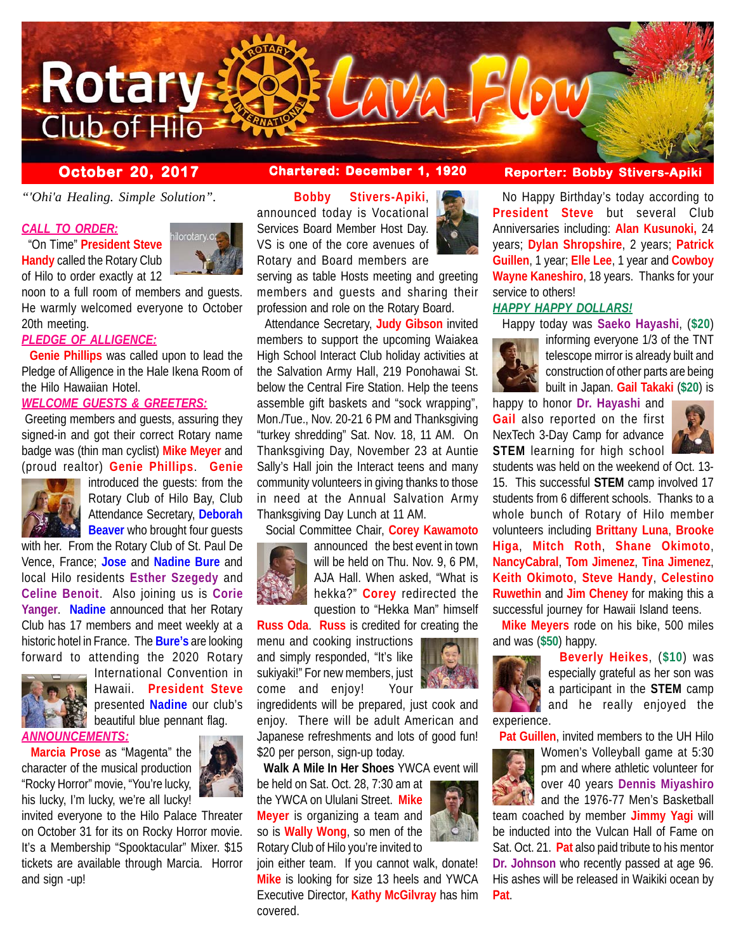

*"'Ohi'a Healing. Simple Solution".*

### *CALL TO ORDER:*

 "On Time" **President Steve Handy** called the Rotary Club of Hilo to order exactly at 12



noon to a full room of members and guests. He warmly welcomed everyone to October 20th meeting.

### *PLEDGE OF ALLIGENCE:*

 **Genie Phillips** was called upon to lead the Pledge of Alligence in the Hale Ikena Room of the Hilo Hawaiian Hotel.

# *WELCOME GUESTS & GREETERS:*

 Greeting members and guests, assuring they signed-in and got their correct Rotary name badge was (thin man cyclist) **Mike Meyer** and (proud realtor) **Genie Phillips**. **Genie**



introduced the guests: from the Rotary Club of Hilo Bay, Club Attendance Secretary, **Deborah Beaver** who brought four quests

with her. From the Rotary Club of St. Paul De Vence, France; **Jose** and **Nadine Bure** and local Hilo residents **Esther Szegedy** and **Celine Benoit**. Also joining us is **Corie Yanger**. **Nadine** announced that her Rotary Club has 17 members and meet weekly at a historic hotel in France. The **Bure's** are looking forward to attending the 2020 Rotary



International Convention in Hawaii. **President Steve** presented **Nadine** our club's beautiful blue pennant flag.

*ANNOUNCEMENTS:*

 **Marcia Prose** as "Magenta" the character of the musical production "Rocky Horror" movie, "You're lucky, his lucky, I'm lucky, we're all lucky!



invited everyone to the Hilo Palace Threater on October 31 for its on Rocky Horror movie. It's a Membership "Spooktacular" Mixer. \$15 tickets are available through Marcia. Horror and sign -up!

 **Bobby Stivers-Apiki**, announced today is Vocational Services Board Member Host Day. VS is one of the core avenues of Rotary and Board members are

serving as table Hosts meeting and greeting members and guests and sharing their profession and role on the Rotary Board.

 Attendance Secretary, **Judy Gibson** invited members to support the upcoming Waiakea High School Interact Club holiday activities at the Salvation Army Hall, 219 Ponohawai St. below the Central Fire Station. Help the teens assemble gift baskets and "sock wrapping", Mon./Tue., Nov. 20-21 6 PM and Thanksgiving "turkey shredding" Sat. Nov. 18, 11 AM. On Thanksgiving Day, November 23 at Auntie Sally's Hall join the Interact teens and many community volunteers in giving thanks to those in need at the Annual Salvation Army Thanksgiving Day Lunch at 11 AM.

# Social Committee Chair, **Corey Kawamoto**



announced the best event in town will be held on Thu. Nov. 9, 6 PM, AJA Hall. When asked, "What is hekka?" **Corey** redirected the question to "Hekka Man" himself

**Russ Oda**. **Russ** is credited for creating the

menu and cooking instructions and simply responded, "It's like sukiyaki!" For new members, just come and enjoy! Your

ingredidents will be prepared, just cook and enjoy. There will be adult American and Japanese refreshments and lots of good fun! \$20 per person, sign-up today.

**Walk A Mile In Her Shoes** YWCA event will

be held on Sat. Oct. 28, 7:30 am at the YWCA on Ululani Street. **Mike Meyer** is organizing a team and so is **Wally Wong**, so men of the Rotary Club of Hilo you're invited to

join either team. If you cannot walk, donate! **Mike** is looking for size 13 heels and YWCA Executive Director, **Kathy McGilvray** has him covered.

# **October 20, 2017 Chartered: December 1, 1920 Reporter: Bobby Stivers-Apiki**

 No Happy Birthday's today according to **President Steve** but several Club Anniversaries including: **Alan Kusunoki,** 24 years; **Dylan Shropshire**, 2 years; **Patrick Guillen**, 1 year; **Elle Lee**, 1 year and **Cowboy Wayne Kaneshiro**, 18 years. Thanks for your service to others!

### *HAPPY HAPPY DOLLARS!*

Happy today was **Saeko Hayashi**, (**\$20**)



informing everyone 1/3 of the TNT telescope mirror is already built and construction of other parts are being built in Japan. **Gail Takaki** (**\$20**) is

happy to honor **Dr. Hayashi** and **Gail** also reported on the first NexTech 3-Day Camp for advance **STEM** learning for high school



students was held on the weekend of Oct. 13- 15. This successful **STEM** camp involved 17 students from 6 different schools. Thanks to a whole bunch of Rotary of Hilo member volunteers including **Brittany Luna**, **Brooke Higa**, **Mitch Roth**, **Shane Okimoto**, **NancyCabral**, **Tom Jimenez**, **Tina Jimenez**, **Keith Okimoto**, **Steve Handy**, **Celestino Ruwethin** and **Jim Cheney** for making this a successful journey for Hawaii Island teens.

 **Mike Meyers** rode on his bike, 500 miles and was (**\$50**) happy.



 **Beverly Heikes**, (**\$10**) was especially grateful as her son was a participant in the **STEM** camp and he really enjoyed the

**Pat Guillen**, invited members to the UH Hilo



Women's Volleyball game at 5:30 pm and where athletic volunteer for over 40 years **Dennis Miyashiro** and the 1976-77 Men's Basketball

team coached by member **Jimmy Yagi** will be inducted into the Vulcan Hall of Fame on Sat. Oct. 21. **Pat** also paid tribute to his mentor **Dr. Johnson** who recently passed at age 96. His ashes will be released in Waikiki ocean by **Pat**.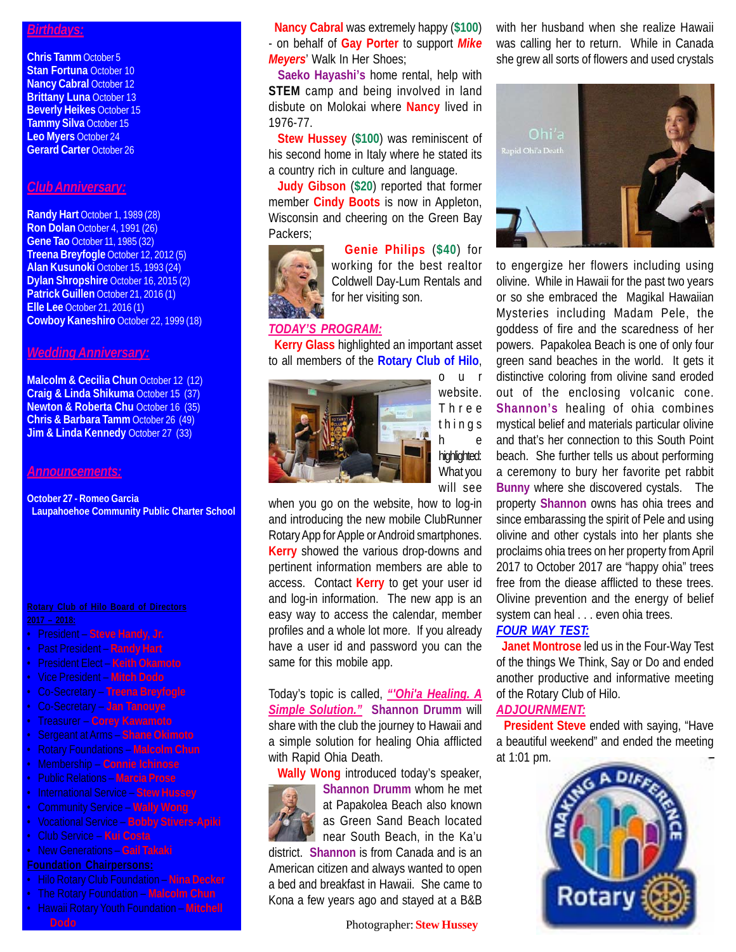## *Birthdays:*

**Chris Tamm** October 5 **Stan Fortuna** October 10 **Nancy Cabral October 12 Brittany Luna** October 13 **Beverly Heikes** October 15 **Tammy Silva** October 15 **Leo Myers** October 24 **Gerard Carter** October 26

### *Club Anniversary:*

**Randy Hart** October 1, 1989 (28) **Ron Dolan** October 4, 1991 (26) **Gene Tao** October 11, 1985 (32) **Treena Breyfogle** October 12, 2012 (5) **Alan Kusunoki** October 15, 1993 (24) **Dylan Shropshire** October 16, 2015 (2) **Patrick Guillen** October 21, 2016 (1) **Elle Lee** October 21, 2016 (1) **Cowboy Kaneshiro** October 22, 1999 (18)

#### *Wedding Anniversary:*

**Malcolm & Cecilia Chun October 12 (12) Craig & Linda Shikuma** October 15 (37) **Newton & Roberta Chu** October 16 (35) **Chris & Barbara Tamm** October 26 (49) **Jim & Linda Kennedy October 27 (33)** 

#### *Announcements:*

**October 27 - Romeo Garcia Laupahoehoe Community Public Charter School**

- President **Steve Handy, Jr.**
- Past President **Randy Hart**
- President Elect **Keith Okamoto**
- Vice President **Mitch Dodo**
- Co-Secretary **Treena Breyfogle**
- Co-Secretary **Jan Tanouye**
- Treasurer **Corey Kawamoto**
- Sergeant at Arms **Shane Okimoto**
- Rotary Foundations **Malcolm Chun**
- Membership **Connie Ichinose**
- Public Relations **Marcia Prose**
- International Service **Stew Hussey**
- Community Service **Wally Wong**
- Vocational Service **Bobby Stivers-Apiki**
- Club Service **Kui Costa**
- New Generations **Gail Takaki**

- Hilo Rotary Club Foundation **Nina Decker**
- The Rotary Foundation **Malcolm Chun**
- Hawaii Rotary Youth Foundation **Mitchell**

 **Nancy Cabral** was extremely happy (**\$100**) - on behalf of **Gay Porter** to support *Mike Meyers*' Walk In Her Shoes;

 **Saeko Hayashi's** home rental, help with **STEM** camp and being involved in land disbute on Molokai where **Nancy** lived in 1976-77.

 **Stew Hussey** (**\$100**) was reminiscent of his second home in Italy where he stated its a country rich in culture and language.

 **Judy Gibson** (**\$20**) reported that former member **Cindy Boots** is now in Appleton, Wisconsin and cheering on the Green Bay Packers;



 **Genie Philips** (**\$40**) for working for the best realtor Coldwell Day-Lum Rentals and for her visiting son.

# *TODAY'S PROGRAM:*

 **Kerry Glass** highlighted an important asset to all members of the **Rotary Club of Hilo**,



website. Three things h e highlighted: What you will see

when you go on the website, how to log-in and introducing the new mobile ClubRunner Rotary App for Apple or Android smartphones. **Kerry** showed the various drop-downs and pertinent information members are able to access. Contact **Kerry** to get your user id and log-in information. The new app is an easy way to access the calendar, member profiles and a whole lot more. If you already have a user id and password you can the same for this mobile app.

Today's topic is called, *"'Ohi'a Healing. A Simple Solution."* **Shannon Drumm** will share with the club the journey to Hawaii and a simple solution for healing Ohia afflicted with Rapid Ohia Death.

 **Wally Wong** introduced today's speaker, **Shannon Drumm** whom he met



at Papakolea Beach also known as Green Sand Beach located near South Beach, in the Ka'u

district. **Shannon** is from Canada and is an American citizen and always wanted to open a bed and breakfast in Hawaii. She came to Kona a few years ago and stayed at a B&B

**Dodo** Photographer: **Stew Hussey**

with her husband when she realize Hawaii was calling her to return. While in Canada she grew all sorts of flowers and used crystals



to engergize her flowers including using olivine. While in Hawaii for the past two years or so she embraced the Magikal Hawaiian Mysteries including Madam Pele, the goddess of fire and the scaredness of her powers. Papakolea Beach is one of only four green sand beaches in the world. It gets it distinctive coloring from olivine sand eroded out of the enclosing volcanic cone. **Shannon's** healing of ohia combines mystical belief and materials particular olivine and that's her connection to this South Point beach. She further tells us about performing a ceremony to bury her favorite pet rabbit **Bunny** where she discovered cystals. The property **Shannon** owns has ohia trees and since embarassing the spirit of Pele and using olivine and other cystals into her plants she proclaims ohia trees on her property from April 2017 to October 2017 are "happy ohia" trees free from the diease afflicted to these trees. Olivine prevention and the energy of belief system can heal . . . even ohia trees.

# *FOUR WAY TEST:*

 **Janet Montrose** led us in the Four-Way Test of the things We Think, Say or Do and ended another productive and informative meeting of the Rotary Club of Hilo. *ADJOURNMENT:*

 **President Steve** ended with saying, "Have a beautiful weekend" and ended the meeting at 1:01 pm.